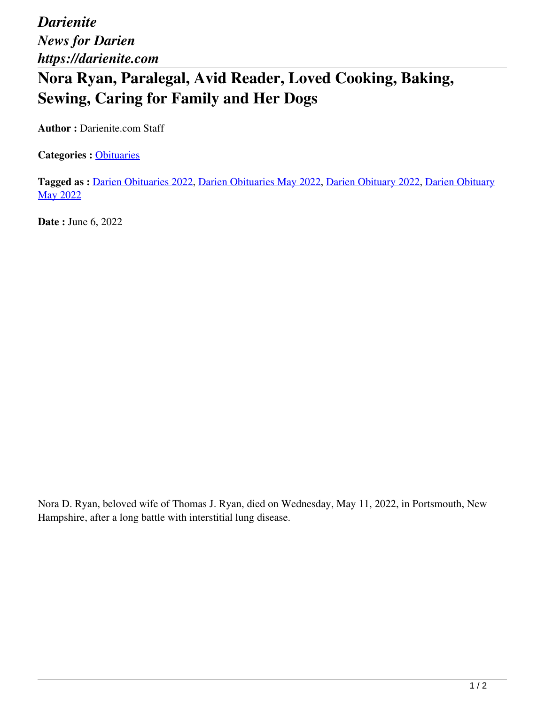*Darienite News for Darien https://darienite.com*

## **Nora Ryan, Paralegal, Avid Reader, Loved Cooking, Baking, Sewing, Caring for Family and Her Dogs**

**Author :** Darienite.com Staff

Categories : [Obituaries](https://darienite.com/category/obituaries)

**Tagged as :** Darien Obituaries 2022, Darien Obituaries May 2022, Darien Obituary 2022, Darien Obituary May 2022

**Date : June 6, 2022** 

Nora D. Ryan, beloved wife of Thomas J. Ryan, died on Wednesday, May 11, 2022, in Portsmouth, New Hampshire, after a long battle with interstitial lung disease.